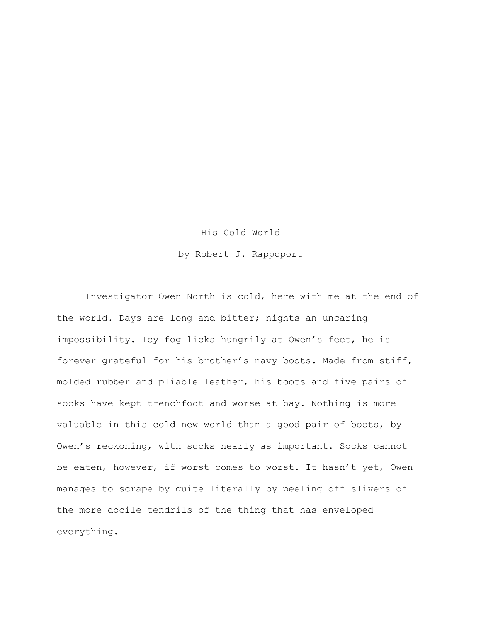## His Cold World

by Robert J. Rappoport

Investigator Owen North is cold, here with me at the end of the world. Days are long and bitter; nights an uncaring impossibility. Icy fog licks hungrily at Owen's feet, he is forever grateful for his brother's navy boots. Made from stiff, molded rubber and pliable leather, his boots and five pairs of socks have kept trenchfoot and worse at bay. Nothing is more valuable in this cold new world than a good pair of boots, by Owen's reckoning, with socks nearly as important. Socks cannot be eaten, however, if worst comes to worst. It hasn't yet, Owen manages to scrape by quite literally by peeling off slivers of the more docile tendrils of the thing that has enveloped everything.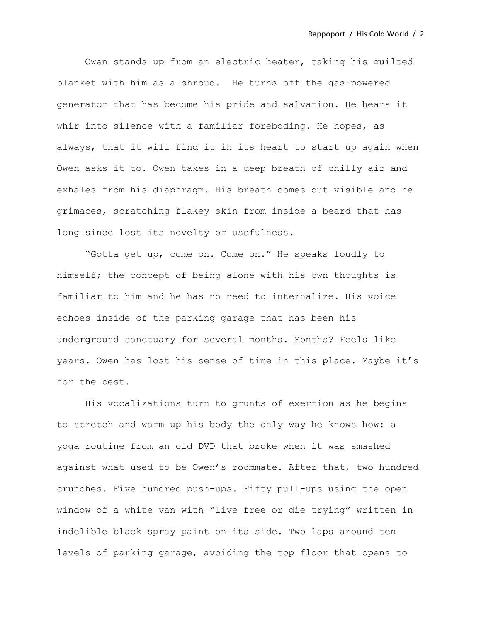Owen stands up from an electric heater, taking his quilted blanket with him as a shroud. He turns off the gas-powered generator that has become his pride and salvation. He hears it whir into silence with a familiar foreboding. He hopes, as always, that it will find it in its heart to start up again when Owen asks it to. Owen takes in a deep breath of chilly air and exhales from his diaphragm. His breath comes out visible and he grimaces, scratching flakey skin from inside a beard that has long since lost its novelty or usefulness.

"Gotta get up, come on. Come on." He speaks loudly to himself; the concept of being alone with his own thoughts is familiar to him and he has no need to internalize. His voice echoes inside of the parking garage that has been his underground sanctuary for several months. Months? Feels like years. Owen has lost his sense of time in this place. Maybe it's for the best.

His vocalizations turn to grunts of exertion as he begins to stretch and warm up his body the only way he knows how: a yoga routine from an old DVD that broke when it was smashed against what used to be Owen's roommate. After that, two hundred crunches. Five hundred push-ups. Fifty pull-ups using the open window of a white van with "live free or die trying" written in indelible black spray paint on its side. Two laps around ten levels of parking garage, avoiding the top floor that opens to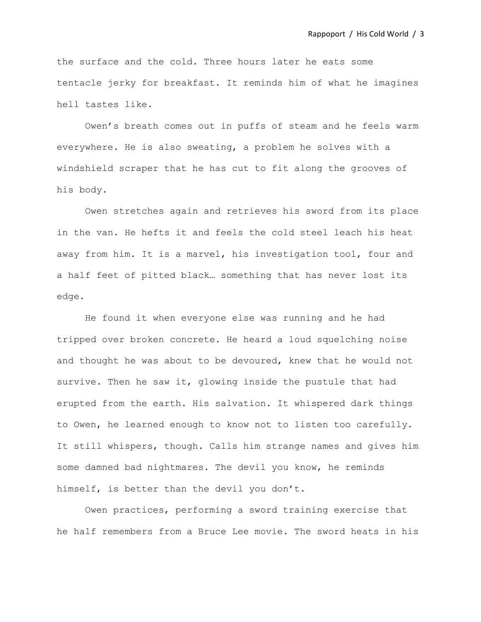the surface and the cold. Three hours later he eats some tentacle jerky for breakfast. It reminds him of what he imagines hell tastes like.

Owen's breath comes out in puffs of steam and he feels warm everywhere. He is also sweating, a problem he solves with a windshield scraper that he has cut to fit along the grooves of his body.

Owen stretches again and retrieves his sword from its place in the van. He hefts it and feels the cold steel leach his heat away from him. It is a marvel, his investigation tool, four and a half feet of pitted black… something that has never lost its edge.

He found it when everyone else was running and he had tripped over broken concrete. He heard a loud squelching noise and thought he was about to be devoured, knew that he would not survive. Then he saw it, glowing inside the pustule that had erupted from the earth. His salvation. It whispered dark things to Owen, he learned enough to know not to listen too carefully. It still whispers, though. Calls him strange names and gives him some damned bad nightmares. The devil you know, he reminds himself, is better than the devil you don't.

Owen practices, performing a sword training exercise that he half remembers from a Bruce Lee movie. The sword heats in his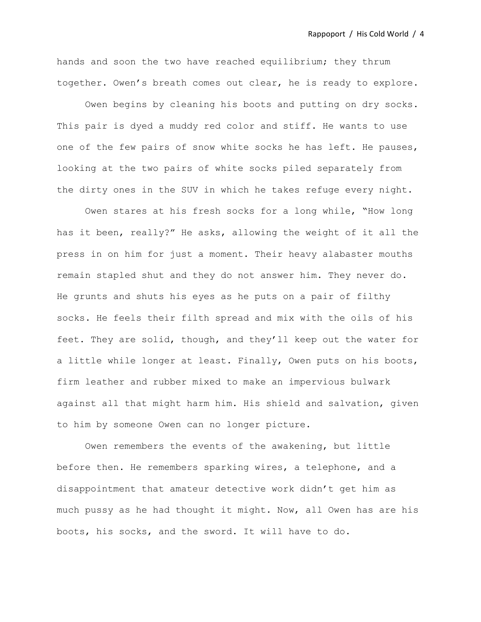hands and soon the two have reached equilibrium; they thrum together. Owen's breath comes out clear, he is ready to explore.

Owen begins by cleaning his boots and putting on dry socks. This pair is dyed a muddy red color and stiff. He wants to use one of the few pairs of snow white socks he has left. He pauses, looking at the two pairs of white socks piled separately from the dirty ones in the SUV in which he takes refuge every night.

Owen stares at his fresh socks for a long while, "How long has it been, really?" He asks, allowing the weight of it all the press in on him for just a moment. Their heavy alabaster mouths remain stapled shut and they do not answer him. They never do. He grunts and shuts his eyes as he puts on a pair of filthy socks. He feels their filth spread and mix with the oils of his feet. They are solid, though, and they'll keep out the water for a little while longer at least. Finally, Owen puts on his boots, firm leather and rubber mixed to make an impervious bulwark against all that might harm him. His shield and salvation, given to him by someone Owen can no longer picture.

Owen remembers the events of the awakening, but little before then. He remembers sparking wires, a telephone, and a disappointment that amateur detective work didn't get him as much pussy as he had thought it might. Now, all Owen has are his boots, his socks, and the sword. It will have to do.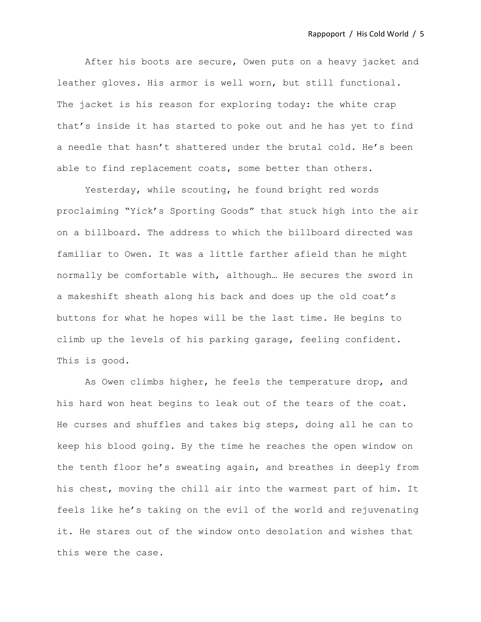After his boots are secure, Owen puts on a heavy jacket and leather gloves. His armor is well worn, but still functional. The jacket is his reason for exploring today: the white crap that's inside it has started to poke out and he has yet to find a needle that hasn't shattered under the brutal cold. He's been able to find replacement coats, some better than others.

Yesterday, while scouting, he found bright red words proclaiming "Yick's Sporting Goods" that stuck high into the air on a billboard. The address to which the billboard directed was familiar to Owen. It was a little farther afield than he might normally be comfortable with, although… He secures the sword in a makeshift sheath along his back and does up the old coat's buttons for what he hopes will be the last time. He begins to climb up the levels of his parking garage, feeling confident. This is good.

As Owen climbs higher, he feels the temperature drop, and his hard won heat begins to leak out of the tears of the coat. He curses and shuffles and takes big steps, doing all he can to keep his blood going. By the time he reaches the open window on the tenth floor he's sweating again, and breathes in deeply from his chest, moving the chill air into the warmest part of him. It feels like he's taking on the evil of the world and rejuvenating it. He stares out of the window onto desolation and wishes that this were the case.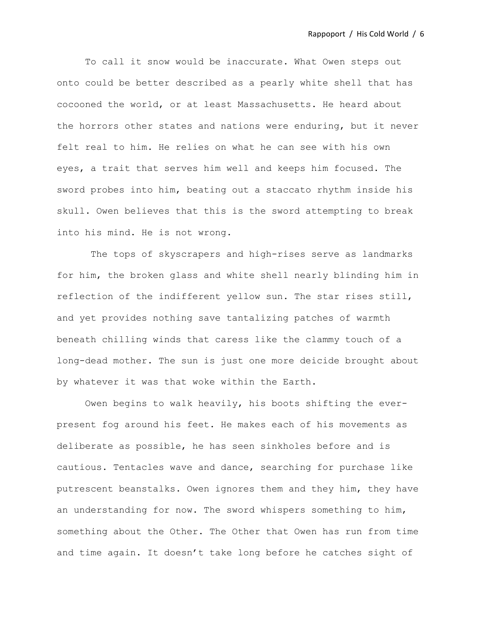To call it snow would be inaccurate. What Owen steps out onto could be better described as a pearly white shell that has cocooned the world, or at least Massachusetts. He heard about the horrors other states and nations were enduring, but it never felt real to him. He relies on what he can see with his own eyes, a trait that serves him well and keeps him focused. The sword probes into him, beating out a staccato rhythm inside his skull. Owen believes that this is the sword attempting to break into his mind. He is not wrong.

The tops of skyscrapers and high-rises serve as landmarks for him, the broken glass and white shell nearly blinding him in reflection of the indifferent yellow sun. The star rises still, and yet provides nothing save tantalizing patches of warmth beneath chilling winds that caress like the clammy touch of a long-dead mother. The sun is just one more deicide brought about by whatever it was that woke within the Earth.

Owen begins to walk heavily, his boots shifting the everpresent fog around his feet. He makes each of his movements as deliberate as possible, he has seen sinkholes before and is cautious. Tentacles wave and dance, searching for purchase like putrescent beanstalks. Owen ignores them and they him, they have an understanding for now. The sword whispers something to him, something about the Other. The Other that Owen has run from time and time again. It doesn't take long before he catches sight of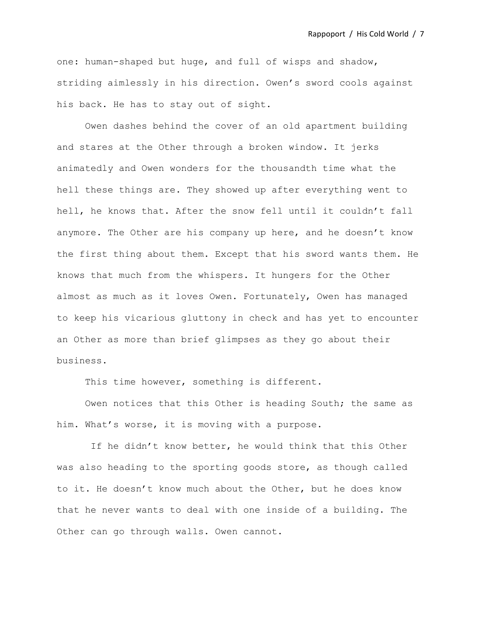one: human-shaped but huge, and full of wisps and shadow, striding aimlessly in his direction. Owen's sword cools against his back. He has to stay out of sight.

Owen dashes behind the cover of an old apartment building and stares at the Other through a broken window. It jerks animatedly and Owen wonders for the thousandth time what the hell these things are. They showed up after everything went to hell, he knows that. After the snow fell until it couldn't fall anymore. The Other are his company up here, and he doesn't know the first thing about them. Except that his sword wants them. He knows that much from the whispers. It hungers for the Other almost as much as it loves Owen. Fortunately, Owen has managed to keep his vicarious gluttony in check and has yet to encounter an Other as more than brief glimpses as they go about their business.

This time however, something is different.

Owen notices that this Other is heading South; the same as him. What's worse, it is moving with a purpose.

If he didn't know better, he would think that this Other was also heading to the sporting goods store, as though called to it. He doesn't know much about the Other, but he does know that he never wants to deal with one inside of a building. The Other can go through walls. Owen cannot.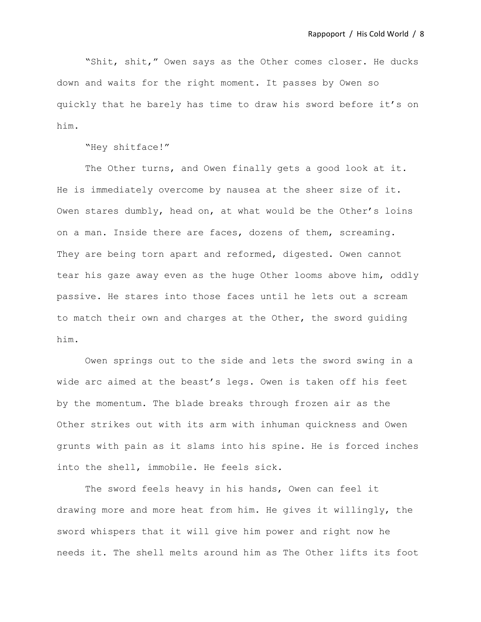"Shit, shit," Owen says as the Other comes closer. He ducks down and waits for the right moment. It passes by Owen so quickly that he barely has time to draw his sword before it's on him.

"Hey shitface!"

The Other turns, and Owen finally gets a good look at it. He is immediately overcome by nausea at the sheer size of it. Owen stares dumbly, head on, at what would be the Other's loins on a man. Inside there are faces, dozens of them, screaming. They are being torn apart and reformed, digested. Owen cannot tear his gaze away even as the huge Other looms above him, oddly passive. He stares into those faces until he lets out a scream to match their own and charges at the Other, the sword guiding him.

Owen springs out to the side and lets the sword swing in a wide arc aimed at the beast's legs. Owen is taken off his feet by the momentum. The blade breaks through frozen air as the Other strikes out with its arm with inhuman quickness and Owen grunts with pain as it slams into his spine. He is forced inches into the shell, immobile. He feels sick.

The sword feels heavy in his hands, Owen can feel it drawing more and more heat from him. He gives it willingly, the sword whispers that it will give him power and right now he needs it. The shell melts around him as The Other lifts its foot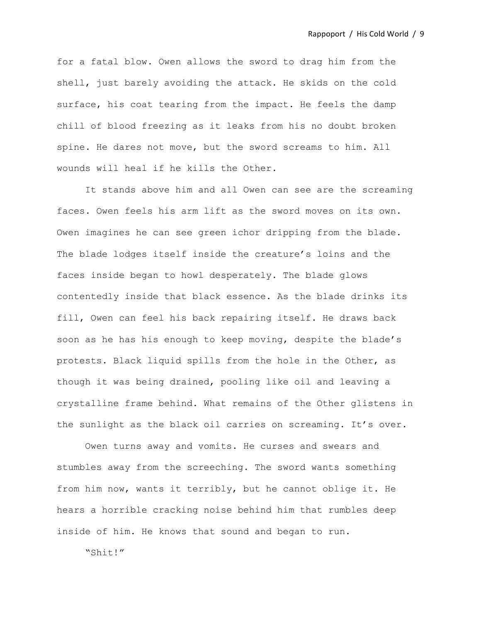for a fatal blow. Owen allows the sword to drag him from the shell, just barely avoiding the attack. He skids on the cold surface, his coat tearing from the impact. He feels the damp chill of blood freezing as it leaks from his no doubt broken spine. He dares not move, but the sword screams to him. All wounds will heal if he kills the Other.

It stands above him and all Owen can see are the screaming faces. Owen feels his arm lift as the sword moves on its own. Owen imagines he can see green ichor dripping from the blade. The blade lodges itself inside the creature's loins and the faces inside began to howl desperately. The blade glows contentedly inside that black essence. As the blade drinks its fill, Owen can feel his back repairing itself. He draws back soon as he has his enough to keep moving, despite the blade's protests. Black liquid spills from the hole in the Other, as though it was being drained, pooling like oil and leaving a crystalline frame behind. What remains of the Other glistens in the sunlight as the black oil carries on screaming. It's over.

Owen turns away and vomits. He curses and swears and stumbles away from the screeching. The sword wants something from him now, wants it terribly, but he cannot oblige it. He hears a horrible cracking noise behind him that rumbles deep inside of him. He knows that sound and began to run.

"Shit!"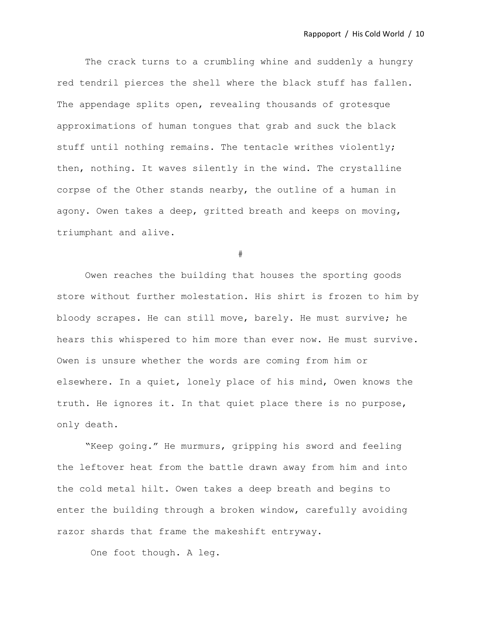The crack turns to a crumbling whine and suddenly a hungry red tendril pierces the shell where the black stuff has fallen. The appendage splits open, revealing thousands of grotesque approximations of human tongues that grab and suck the black stuff until nothing remains. The tentacle writhes violently; then, nothing. It waves silently in the wind. The crystalline corpse of the Other stands nearby, the outline of a human in agony. Owen takes a deep, gritted breath and keeps on moving, triumphant and alive.

#

Owen reaches the building that houses the sporting goods store without further molestation. His shirt is frozen to him by bloody scrapes. He can still move, barely. He must survive; he hears this whispered to him more than ever now. He must survive. Owen is unsure whether the words are coming from him or elsewhere. In a quiet, lonely place of his mind, Owen knows the truth. He ignores it. In that quiet place there is no purpose, only death.

"Keep going." He murmurs, gripping his sword and feeling the leftover heat from the battle drawn away from him and into the cold metal hilt. Owen takes a deep breath and begins to enter the building through a broken window, carefully avoiding razor shards that frame the makeshift entryway.

One foot though. A leg.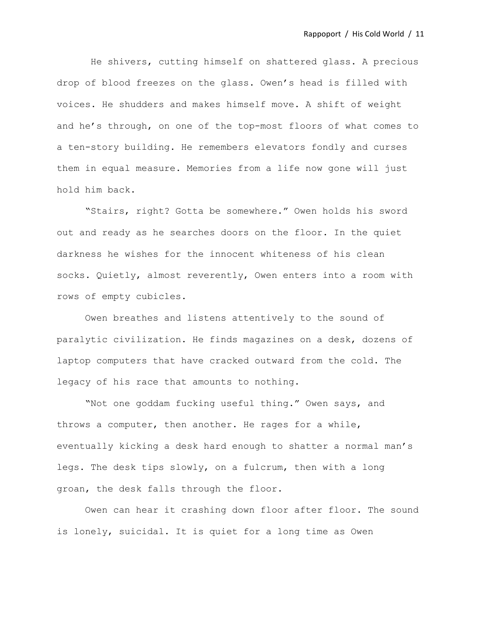He shivers, cutting himself on shattered glass. A precious drop of blood freezes on the glass. Owen's head is filled with voices. He shudders and makes himself move. A shift of weight and he's through, on one of the top-most floors of what comes to a ten-story building. He remembers elevators fondly and curses them in equal measure. Memories from a life now gone will just hold him back.

"Stairs, right? Gotta be somewhere." Owen holds his sword out and ready as he searches doors on the floor. In the quiet darkness he wishes for the innocent whiteness of his clean socks. Quietly, almost reverently, Owen enters into a room with rows of empty cubicles.

Owen breathes and listens attentively to the sound of paralytic civilization. He finds magazines on a desk, dozens of laptop computers that have cracked outward from the cold. The legacy of his race that amounts to nothing.

"Not one goddam fucking useful thing." Owen says, and throws a computer, then another. He rages for a while, eventually kicking a desk hard enough to shatter a normal man's legs. The desk tips slowly, on a fulcrum, then with a long groan, the desk falls through the floor.

Owen can hear it crashing down floor after floor. The sound is lonely, suicidal. It is quiet for a long time as Owen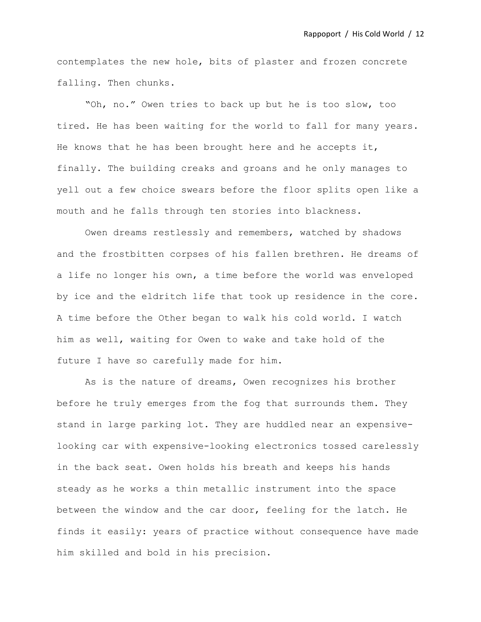contemplates the new hole, bits of plaster and frozen concrete falling. Then chunks.

"Oh, no." Owen tries to back up but he is too slow, too tired. He has been waiting for the world to fall for many years. He knows that he has been brought here and he accepts it, finally. The building creaks and groans and he only manages to yell out a few choice swears before the floor splits open like a mouth and he falls through ten stories into blackness.

Owen dreams restlessly and remembers, watched by shadows and the frostbitten corpses of his fallen brethren. He dreams of a life no longer his own, a time before the world was enveloped by ice and the eldritch life that took up residence in the core. A time before the Other began to walk his cold world. I watch him as well, waiting for Owen to wake and take hold of the future I have so carefully made for him.

As is the nature of dreams, Owen recognizes his brother before he truly emerges from the fog that surrounds them. They stand in large parking lot. They are huddled near an expensivelooking car with expensive-looking electronics tossed carelessly in the back seat. Owen holds his breath and keeps his hands steady as he works a thin metallic instrument into the space between the window and the car door, feeling for the latch. He finds it easily: years of practice without consequence have made him skilled and bold in his precision.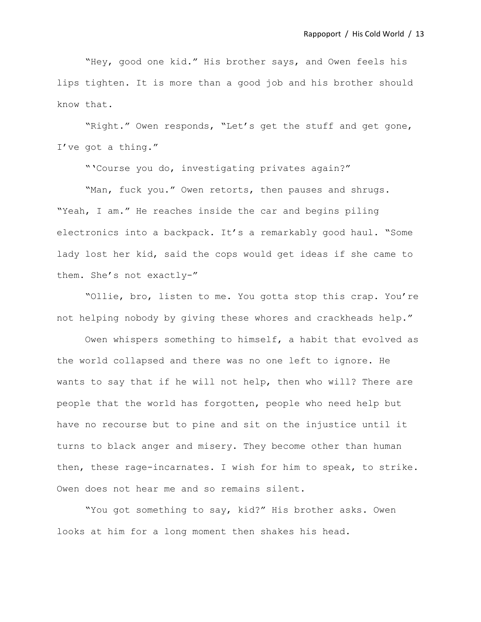"Hey, good one kid." His brother says, and Owen feels his lips tighten. It is more than a good job and his brother should know that.

"Right." Owen responds, "Let's get the stuff and get gone, I've got a thing."

"'Course you do, investigating privates again?"

"Man, fuck you." Owen retorts, then pauses and shrugs. "Yeah, I am." He reaches inside the car and begins piling electronics into a backpack. It's a remarkably good haul. "Some lady lost her kid, said the cops would get ideas if she came to them. She's not exactly-"

"Ollie, bro, listen to me. You gotta stop this crap. You're not helping nobody by giving these whores and crackheads help."

Owen whispers something to himself, a habit that evolved as the world collapsed and there was no one left to ignore. He wants to say that if he will not help, then who will? There are people that the world has forgotten, people who need help but have no recourse but to pine and sit on the injustice until it turns to black anger and misery. They become other than human then, these rage-incarnates. I wish for him to speak, to strike. Owen does not hear me and so remains silent.

"You got something to say, kid?" His brother asks. Owen looks at him for a long moment then shakes his head.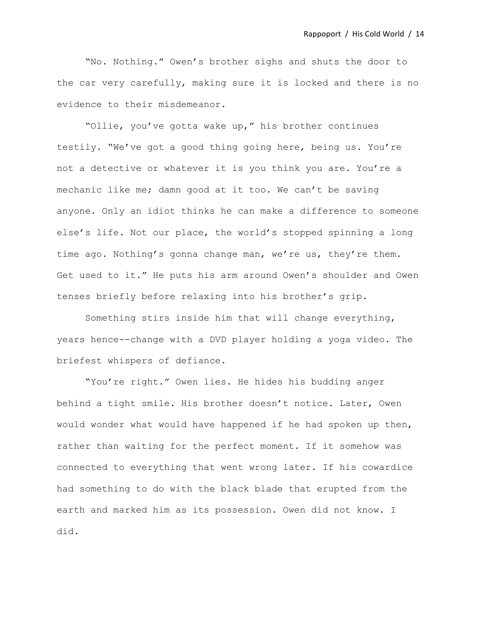"No. Nothing." Owen's brother sighs and shuts the door to the car very carefully, making sure it is locked and there is no evidence to their misdemeanor.

"Ollie, you've gotta wake up," his brother continues testily. "We've got a good thing going here, being us. You're not a detective or whatever it is you think you are. You're a mechanic like me; damn good at it too. We can't be saving anyone. Only an idiot thinks he can make a difference to someone else's life. Not our place, the world's stopped spinning a long time ago. Nothing's gonna change man, we're us, they're them. Get used to it." He puts his arm around Owen's shoulder and Owen tenses briefly before relaxing into his brother's grip.

Something stirs inside him that will change everything, years hence--change with a DVD player holding a yoga video. The briefest whispers of defiance.

"You're right." Owen lies. He hides his budding anger behind a tight smile. His brother doesn't notice. Later, Owen would wonder what would have happened if he had spoken up then, rather than waiting for the perfect moment. If it somehow was connected to everything that went wrong later. If his cowardice had something to do with the black blade that erupted from the earth and marked him as its possession. Owen did not know. I did.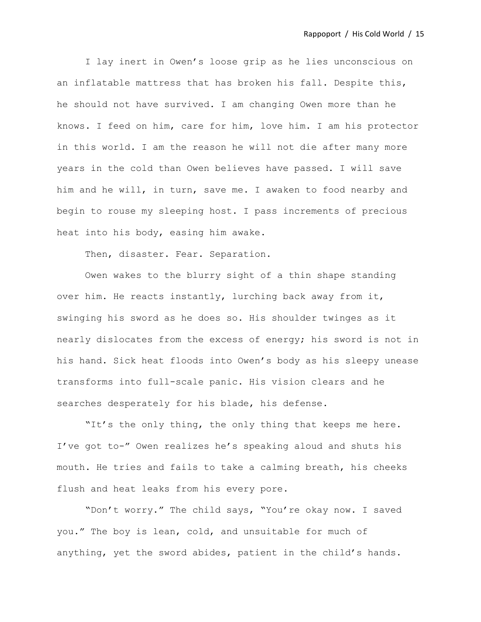I lay inert in Owen's loose grip as he lies unconscious on an inflatable mattress that has broken his fall. Despite this, he should not have survived. I am changing Owen more than he knows. I feed on him, care for him, love him. I am his protector in this world. I am the reason he will not die after many more years in the cold than Owen believes have passed. I will save him and he will, in turn, save me. I awaken to food nearby and begin to rouse my sleeping host. I pass increments of precious heat into his body, easing him awake.

Then, disaster. Fear. Separation.

Owen wakes to the blurry sight of a thin shape standing over him. He reacts instantly, lurching back away from it, swinging his sword as he does so. His shoulder twinges as it nearly dislocates from the excess of energy; his sword is not in his hand. Sick heat floods into Owen's body as his sleepy unease transforms into full-scale panic. His vision clears and he searches desperately for his blade, his defense.

"It's the only thing, the only thing that keeps me here. I've got to-" Owen realizes he's speaking aloud and shuts his mouth. He tries and fails to take a calming breath, his cheeks flush and heat leaks from his every pore.

"Don't worry." The child says, "You're okay now. I saved you." The boy is lean, cold, and unsuitable for much of anything, yet the sword abides, patient in the child's hands.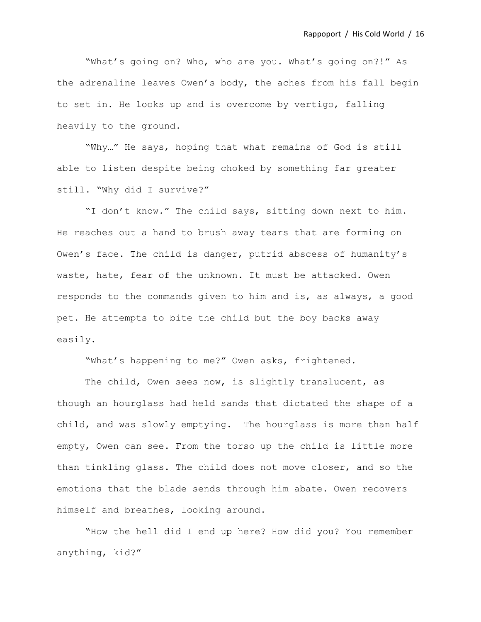"What's going on? Who, who are you. What's going on?!" As the adrenaline leaves Owen's body, the aches from his fall begin to set in. He looks up and is overcome by vertigo, falling heavily to the ground.

"Why…" He says, hoping that what remains of God is still able to listen despite being choked by something far greater still. "Why did I survive?"

"I don't know." The child says, sitting down next to him. He reaches out a hand to brush away tears that are forming on Owen's face. The child is danger, putrid abscess of humanity's waste, hate, fear of the unknown. It must be attacked. Owen responds to the commands given to him and is, as always, a good pet. He attempts to bite the child but the boy backs away easily.

"What's happening to me?" Owen asks, frightened.

The child, Owen sees now, is slightly translucent, as though an hourglass had held sands that dictated the shape of a child, and was slowly emptying. The hourglass is more than half empty, Owen can see. From the torso up the child is little more than tinkling glass. The child does not move closer, and so the emotions that the blade sends through him abate. Owen recovers himself and breathes, looking around.

"How the hell did I end up here? How did you? You remember anything, kid?"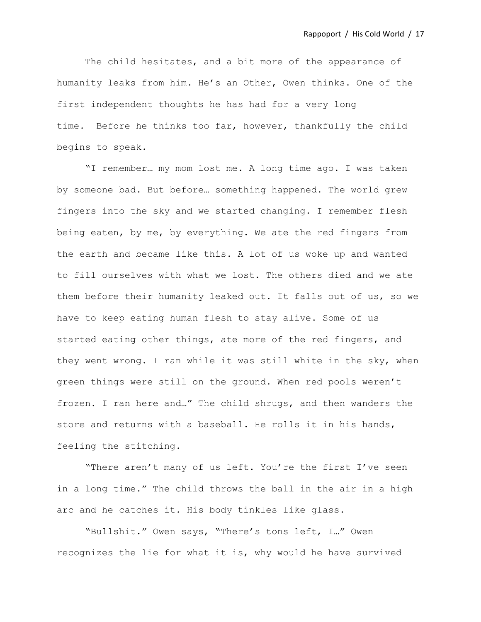The child hesitates, and a bit more of the appearance of humanity leaks from him. He's an Other, Owen thinks. One of the first independent thoughts he has had for a very long time. Before he thinks too far, however, thankfully the child begins to speak.

"I remember… my mom lost me. A long time ago. I was taken by someone bad. But before… something happened. The world grew fingers into the sky and we started changing. I remember flesh being eaten, by me, by everything. We ate the red fingers from the earth and became like this. A lot of us woke up and wanted to fill ourselves with what we lost. The others died and we ate them before their humanity leaked out. It falls out of us, so we have to keep eating human flesh to stay alive. Some of us started eating other things, ate more of the red fingers, and they went wrong. I ran while it was still white in the sky, when green things were still on the ground. When red pools weren't frozen. I ran here and…" The child shrugs, and then wanders the store and returns with a baseball. He rolls it in his hands, feeling the stitching.

"There aren't many of us left. You're the first I've seen in a long time." The child throws the ball in the air in a high arc and he catches it. His body tinkles like glass.

"Bullshit." Owen says, "There's tons left, I…" Owen recognizes the lie for what it is, why would he have survived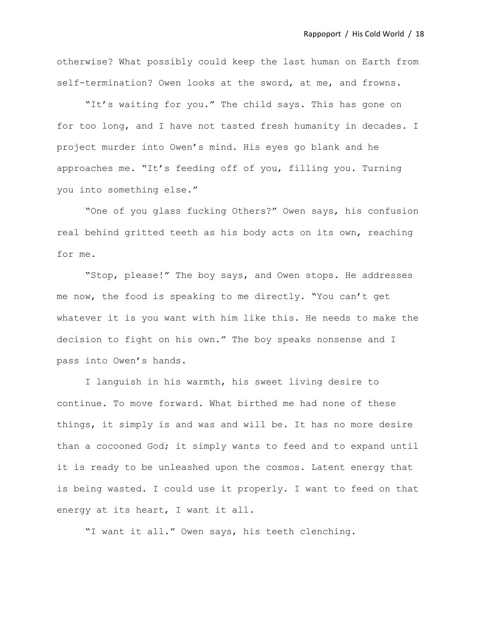otherwise? What possibly could keep the last human on Earth from self-termination? Owen looks at the sword, at me, and frowns.

"It's waiting for you." The child says. This has gone on for too long, and I have not tasted fresh humanity in decades. I project murder into Owen's mind. His eyes go blank and he approaches me. "It's feeding off of you, filling you. Turning you into something else."

"One of you glass fucking Others?" Owen says, his confusion real behind gritted teeth as his body acts on its own, reaching for me.

"Stop, please!" The boy says, and Owen stops. He addresses me now, the food is speaking to me directly. "You can't get whatever it is you want with him like this. He needs to make the decision to fight on his own." The boy speaks nonsense and I pass into Owen's hands.

I languish in his warmth, his sweet living desire to continue. To move forward. What birthed me had none of these things, it simply is and was and will be. It has no more desire than a cocooned God; it simply wants to feed and to expand until it is ready to be unleashed upon the cosmos. Latent energy that is being wasted. I could use it properly. I want to feed on that energy at its heart, I want it all.

"I want it all." Owen says, his teeth clenching.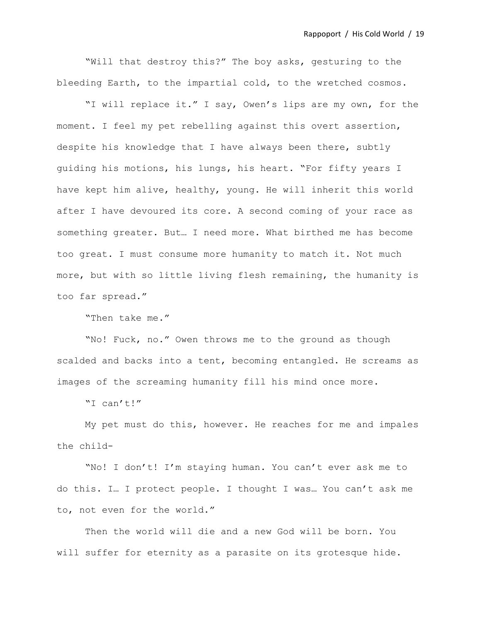"Will that destroy this?" The boy asks, gesturing to the bleeding Earth, to the impartial cold, to the wretched cosmos.

"I will replace it." I say, Owen's lips are my own, for the moment. I feel my pet rebelling against this overt assertion, despite his knowledge that I have always been there, subtly guiding his motions, his lungs, his heart. "For fifty years I have kept him alive, healthy, young. He will inherit this world after I have devoured its core. A second coming of your race as something greater. But… I need more. What birthed me has become too great. I must consume more humanity to match it. Not much more, but with so little living flesh remaining, the humanity is too far spread."

"Then take me."

"No! Fuck, no." Owen throws me to the ground as though scalded and backs into a tent, becoming entangled. He screams as images of the screaming humanity fill his mind once more.

"I can't!"

My pet must do this, however. He reaches for me and impales the child-

"No! I don't! I'm staying human. You can't ever ask me to do this. I… I protect people. I thought I was… You can't ask me to, not even for the world."

Then the world will die and a new God will be born. You will suffer for eternity as a parasite on its grotesque hide.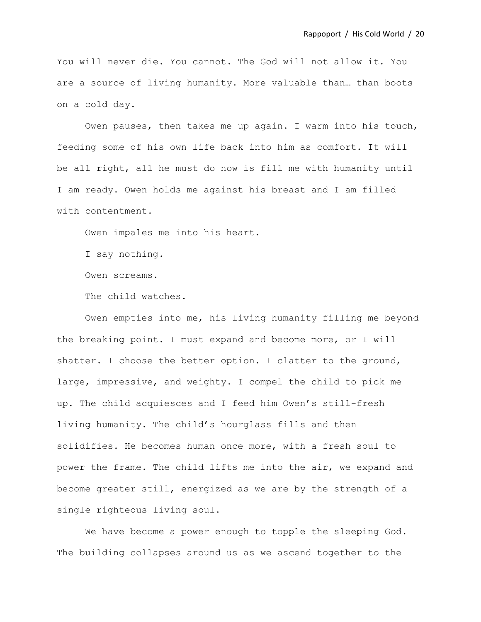You will never die. You cannot. The God will not allow it. You are a source of living humanity. More valuable than… than boots on a cold day.

Owen pauses, then takes me up again. I warm into his touch, feeding some of his own life back into him as comfort. It will be all right, all he must do now is fill me with humanity until I am ready. Owen holds me against his breast and I am filled with contentment.

Owen impales me into his heart.

I say nothing.

Owen screams.

The child watches.

Owen empties into me, his living humanity filling me beyond the breaking point. I must expand and become more, or I will shatter. I choose the better option. I clatter to the ground, large, impressive, and weighty. I compel the child to pick me up. The child acquiesces and I feed him Owen's still-fresh living humanity. The child's hourglass fills and then solidifies. He becomes human once more, with a fresh soul to power the frame. The child lifts me into the air, we expand and become greater still, energized as we are by the strength of a single righteous living soul.

We have become a power enough to topple the sleeping God. The building collapses around us as we ascend together to the